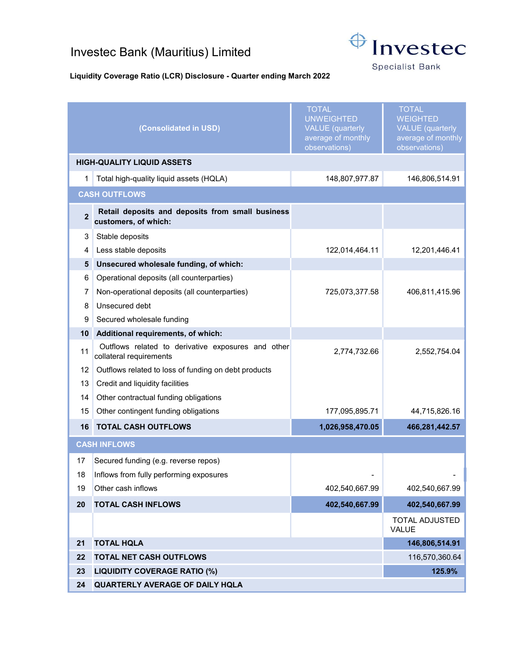## Investec Bank (Mauritius) Limited



**Specialist Bank** 

## Liquidity Coverage Ratio (LCR) Disclosure - Quarter ending March 2022

|                                           | (Consolidated in USD)                                                         | <b>TOTAL</b><br><b>UNWEIGHTED</b><br><b>VALUE</b> (quarterly<br>average of monthly<br>observations) | <b>TOTAL</b><br><b>WEIGHTED</b><br><b>VALUE</b> (quarterly<br>average of monthly<br>observations) |
|-------------------------------------------|-------------------------------------------------------------------------------|-----------------------------------------------------------------------------------------------------|---------------------------------------------------------------------------------------------------|
| <b>HIGH-QUALITY LIQUID ASSETS</b>         |                                                                               |                                                                                                     |                                                                                                   |
| 1                                         | Total high-quality liquid assets (HQLA)                                       | 148,807,977.87                                                                                      | 146,806,514.91                                                                                    |
| <b>CASH OUTFLOWS</b>                      |                                                                               |                                                                                                     |                                                                                                   |
| $\overline{2}$                            | Retail deposits and deposits from small business<br>customers, of which:      |                                                                                                     |                                                                                                   |
| 3                                         | Stable deposits                                                               |                                                                                                     |                                                                                                   |
| 4                                         | Less stable deposits                                                          | 122,014,464.11                                                                                      | 12,201,446.41                                                                                     |
| 5                                         | Unsecured wholesale funding, of which:                                        |                                                                                                     |                                                                                                   |
| 6                                         | Operational deposits (all counterparties)                                     |                                                                                                     |                                                                                                   |
| 7                                         | Non-operational deposits (all counterparties)                                 | 725,073,377.58                                                                                      | 406,811,415.96                                                                                    |
| 8                                         | Unsecured debt                                                                |                                                                                                     |                                                                                                   |
| 9                                         | Secured wholesale funding                                                     |                                                                                                     |                                                                                                   |
| 10                                        | Additional requirements, of which:                                            |                                                                                                     |                                                                                                   |
| 11                                        | Outflows related to derivative exposures and other<br>collateral requirements | 2,774,732.66                                                                                        | 2,552,754.04                                                                                      |
| 12                                        | Outflows related to loss of funding on debt products                          |                                                                                                     |                                                                                                   |
| 13                                        | Credit and liquidity facilities                                               |                                                                                                     |                                                                                                   |
| 14                                        | Other contractual funding obligations                                         |                                                                                                     |                                                                                                   |
| 15                                        | Other contingent funding obligations                                          | 177,095,895.71                                                                                      | 44,715,826.16                                                                                     |
| 16                                        | <b>TOTAL CASH OUTFLOWS</b>                                                    | 1,026,958,470.05                                                                                    | 466,281,442.57                                                                                    |
| <b>CASH INFLOWS</b>                       |                                                                               |                                                                                                     |                                                                                                   |
| 17                                        | Secured funding (e.g. reverse repos)                                          |                                                                                                     |                                                                                                   |
| 18                                        | Inflows from fully performing exposures                                       |                                                                                                     |                                                                                                   |
| 19                                        | Other cash inflows                                                            | 402,540,667.99                                                                                      | 402,540,667.99                                                                                    |
| 20                                        | <b>TOTAL CASH INFLOWS</b>                                                     | 402,540,667.99                                                                                      | 402,540,667.99                                                                                    |
|                                           |                                                                               |                                                                                                     | <b>TOTAL ADJUSTED</b><br>VALUE                                                                    |
| 21                                        | <b>TOTAL HQLA</b>                                                             |                                                                                                     | 146,806,514.91                                                                                    |
| 22<br><b>TOTAL NET CASH OUTFLOWS</b>      |                                                                               | 116,570,360.64                                                                                      |                                                                                                   |
| 23<br><b>LIQUIDITY COVERAGE RATIO (%)</b> |                                                                               |                                                                                                     | 125.9%                                                                                            |
| 24                                        | QUARTERLY AVERAGE OF DAILY HQLA                                               |                                                                                                     |                                                                                                   |